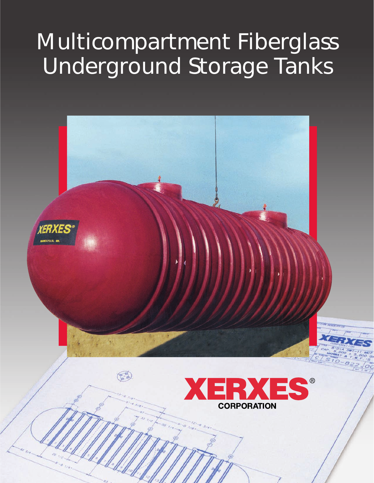# Multicompartment Fiberglass Underground Storage Tanks

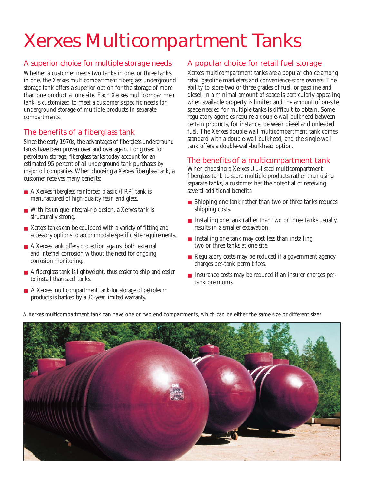## Xerxes Multicompartment Tanks

#### A superior choice for multiple storage needs

Whether a customer needs two tanks in one, or three tanks in one, the Xerxes multicompartment fiberglass underground storage tank offers a superior option for the storage of more than one product at one site. Each Xerxes multicompartment tank is customized to meet a customer's specific needs for underground storage of multiple products in separate compartments.

#### The benefits of a fiberglass tank

Since the early 1970s, the advantages of fiberglass underground tanks have been proven over and over again. Long used for petroleum storage, fiberglass tanks today account for an estimated 95 percent of all underground tank purchases by major oil companies. When choosing a Xerxes fiberglass tank, a customer receives many benefits:

- A Xerxes fiberglass reinforced plastic (FRP) tank is manufactured of high-quality resin and glass.
- With its unique integral-rib design, a Xerxes tank is structurally strong.
- Xerxes tanks can be equipped with a variety of fitting and accessory options to accommodate specific site requirements.
- A Xerxes tank offers protection against both external and internal corrosion without the need for ongoing corrosion monitoring.
- A fiberglass tank is lightweight, thus easier to ship and easier to install than steel tanks.
- A Xerxes multicompartment tank for storage of petroleum products is backed by a 30-year limited warranty.

#### A popular choice for retail fuel storage

Xerxes multicompartment tanks are a popular choice among retail gasoline marketers and convenience-store owners. The ability to store two or three grades of fuel, or gasoline and diesel, in a minimal amount of space is particularly appealing when available property is limited and the amount of on-site space needed for multiple tanks is difficult to obtain. Some regulatory agencies require a double-wall bulkhead between certain products, for instance, between diesel and unleaded fuel. The Xerxes double-wall multicompartment tank comes standard with a double-wall bulkhead, and the single-wall tank offers a double-wall-bulkhead option.

#### The benefits of a multicompartment tank

When choosing a Xerxes UL-listed multicompartment fiberglass tank to store multiple products rather than using separate tanks, a customer has the potential of receiving several additional benefits:

- Shipping one tank rather than two or three tanks reduces shipping costs.
- Installing one tank rather than two or three tanks usually results in a smaller excavation.
- Installing one tank may cost less than installing two or three tanks at one site.
- Regulatory costs may be reduced if a government agency charges per-tank permit fees.
- Insurance costs may be reduced if an insurer charges pertank premiums.

A Xerxes multicompartment tank can have one or two end compartments, which can be either the same size or different sizes.

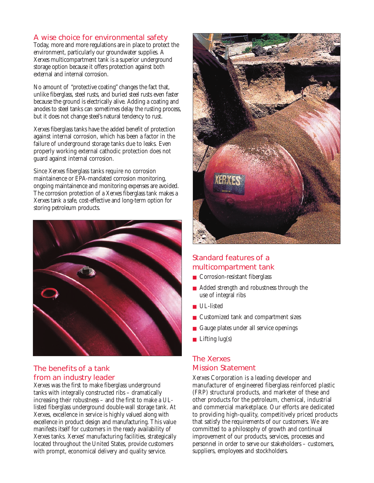#### A wise choice for environmental safety

Today, more and more regulations are in place to protect the environment, particularly our groundwater supplies. A Xerxes multicompartment tank is a superior underground storage option because it offers protection against both external and internal corrosion.

No amount of "protective coating" changes the fact that, unlike fiberglass, steel rusts, and buried steel rusts even faster because the ground is electrically alive. Adding a coating and anodes to steel tanks can sometimes delay the rusting process, but it does not change steel's natural tendency to rust.

Xerxes fiberglass tanks have the added benefit of protection against internal corrosion, which has been a factor in the failure of underground storage tanks due to leaks. Even properly working external cathodic protection does not guard against internal corrosion.

Since Xerxes fiberglass tanks require no corrosion maintainence or EPA-mandated corrosion monitoring, ongoing maintainence and monitoring expenses are avoided. The corrosion protection of a Xerxes fiberglass tank makes a Xerxes tank a safe, cost-effective and long-term option for storing petroleum products.



#### The benefits of a tank from an industry leader

Xerxes was the first to make fiberglass underground tanks with integrally constructed ribs – dramatically increasing their robustness – and the first to make a ULlisted fiberglass underground double-wall storage tank. At Xerxes, excellence in service is highly valued along with excellence in product design and manufacturing. This value manifests itself for customers in the ready availability of Xerxes tanks. Xerxes' manufacturing facilities, strategically located throughout the United States, provide customers with prompt, economical delivery and quality service.



#### Standard features of a multicompartment tank

- Corrosion-resistant fiberglass
- Added strength and robustness through the use of integral ribs
- UL-listed
- Customized tank and compartment sizes
- Gauge plates under all service openings
- Lifting lug(s)

### The Xerxes Mission Statement

Xerxes Corporation is a leading developer and manufacturer of engineered fiberglass reinforced plastic (FRP) structural products, and marketer of these and other products for the petroleum, chemical, industrial and commercial marketplace. Our efforts are dedicated to providing high-quality, competitively priced products that satisfy the requirements of our customers. We are committed to a philosophy of growth and continual improvement of our products, services, processes and personnel in order to serve our stakeholders – customers, suppliers, employees and stockholders.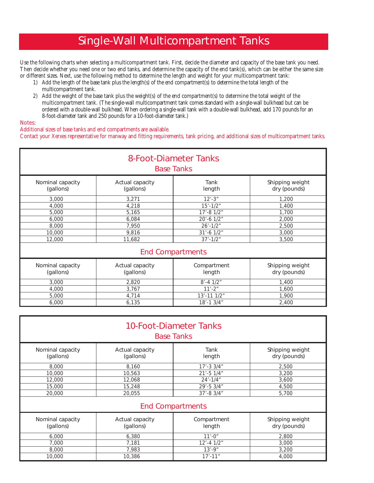## Single-Wall Multicompartment Tanks

Use the following charts when selecting a multicompartment tank. First, decide the diameter and capacity of the base tank you need. Then decide whether you need one or two end tanks, and determine the capacity of the end tank(s), which can be either the same size or different sizes. Next, use the following method to determine the length and weight for your multicompartment tank:

- 1) Add the length of the base tank plus the length(s) of the end compartment(s) to determine the total length of the multicompartment tank.
- 2) Add the weight of the base tank plus the weight(s) of the end compartment(s) to determine the total weight of the multicompartment tank. (The single-wall multicompartment tank comes standard with a single-wall bulkhead but can be ordered with a double-wall bulkhead. When ordering a single-wall tank with a double-wall bulkhead, add 170 pounds for an 8-foot-diameter tank and 250 pounds for a 10-foot-diameter tank.)

#### Notes:

Additional sizes of base tanks and end compartments are available.

Contact your Xerxes representative for manway and fitting requirements, tank pricing, and additional sizes of multicompartment tanks.

| 8-Foot-Diameter Tanks<br><b>Base Tanks</b> |                              |                       |                                 |  |  |
|--------------------------------------------|------------------------------|-----------------------|---------------------------------|--|--|
| Nominal capacity<br>(gallons)              | Actual capacity<br>(gallons) | Tank<br>length        | Shipping weight<br>dry (pounds) |  |  |
| 3,000                                      | 3,271                        | $12' - 3''$           | 1,200                           |  |  |
| 4,000                                      | 4,218                        | $15' - 1/2"$          | 1,400                           |  |  |
| 5,000                                      | 5,165                        | $17' - 8$ $1/2"$      | 1,700                           |  |  |
| 6,000                                      | 6,084                        | 20'-6 1/2"            | 2,000                           |  |  |
| 8,000                                      | 7,950                        | $26' - 1/2"$          | 2,500                           |  |  |
| 10,000                                     | 9,816                        | 31'-6 1/2"            | 3,000                           |  |  |
| 12,000                                     | 11,682                       | $37' - 1/2''$         | 3,500                           |  |  |
| <b>End Compartments</b>                    |                              |                       |                                 |  |  |
| Nominal capacity<br>(gallons)              | Actual capacity<br>(gallons) | Compartment<br>length | Shipping weight<br>dry (pounds) |  |  |
| 3,000                                      | 2,820                        | $8' - 4 \frac{1}{2}$  | 1,400                           |  |  |
| 4,000                                      | 3,767                        | $11' - 2"$            | 1,600                           |  |  |
| 5,000                                      | 4,714                        | $13' - 11$ $1/2"$     | 1,900                           |  |  |
| 6,000                                      | 6,135                        | $18' - 13/4''$        | 2,400                           |  |  |

| 10-Foot-Diameter Tanks<br><b>Base Tanks</b> |                              |                       |                                 |  |  |  |
|---------------------------------------------|------------------------------|-----------------------|---------------------------------|--|--|--|
| Nominal capacity<br>(gallons)               | Actual capacity<br>(gallons) | Tank<br>length        | Shipping weight<br>dry (pounds) |  |  |  |
| 8,000                                       | 8,160                        | $17 - 33/4$           | 2,500                           |  |  |  |
| 10,000                                      | 10,563                       | $21' - 5$ $1/4"$      | 3,200                           |  |  |  |
| 12,000                                      | 12,068                       | $24' - 1/4''$         | 3,600                           |  |  |  |
| 15,000                                      | 15,248                       | $29' - 53/4"$         | 4,500                           |  |  |  |
| 20,000                                      | 20,055                       | $37' - 83/4''$        | 5,700                           |  |  |  |
| <b>End Compartments</b>                     |                              |                       |                                 |  |  |  |
| Nominal capacity<br>(gallons)               | Actual capacity<br>(gallons) | Compartment<br>length | Shipping weight<br>dry (pounds) |  |  |  |
| 6,000                                       | 6,380                        | $11' - 0''$           | 2,800                           |  |  |  |
| 7.000                                       | 7,181                        | $12' - 4$ $1/2"$      | 3,000                           |  |  |  |
| 8,000                                       | 7,983                        | $13' - 9''$           | 3,200                           |  |  |  |
| 10,000                                      | 10,386                       | $17' - 11''$          | 4,000                           |  |  |  |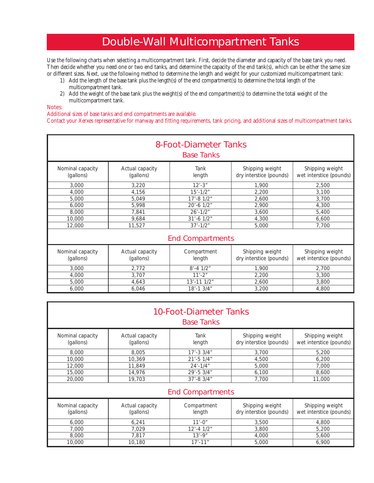### Double-Wall Multicompartment Tanks

Use the following charts when selecting a multicompartment tank. First, decide the diameter and capacity of the base tank you need. Then decide whether you need one or two end tanks, and determine the capacity of the end tank(s), which can be either the same size or different sizes. Next, use the following method to determine the length and weight for your customized multicompartment tank:

- 1) Add the length of the base tank plus the length(s) of the end compartment(s) to determine the total length of the multicompartment tank.
- 2) Add the weight of the base tank plus the weight(s) of the end compartment(s) to determine the total weight of the multicompartment tank.

Notes:

Additional sizes of base tanks and end compartments are available.

Contact your Xerxes representative for manway and fitting requirements, tank pricing, and additional sizes of multicompartment tanks.

| 8-Foot-Diameter Tanks<br><b>Base Tanks</b> |                              |                       |                                            |                                            |  |  |
|--------------------------------------------|------------------------------|-----------------------|--------------------------------------------|--------------------------------------------|--|--|
| Nominal capacity<br>(gallons)              | Actual capacity<br>(gallons) | Tank<br>length        | Shipping weight<br>dry interstice (pounds) | Shipping weight<br>wet interstice (pounds) |  |  |
| 3,000                                      | 3,220                        | $12 - 3$ "            | 1,900                                      | 2,500                                      |  |  |
| 4,000                                      | 4,156                        | $15' - 1/2"$          | 2,200                                      | 3.100                                      |  |  |
| 5,000                                      | 5,049                        | $17' - 81/2"$         | 2,600                                      | 3,700                                      |  |  |
| 6,000                                      | 5,998                        | 20'-6 1/2"            | 2,900                                      | 4,300                                      |  |  |
| 8,000                                      | 7,841                        | $26' - 1/2"$          | 3,600                                      | 5,400                                      |  |  |
| 10,000                                     | 9,684                        | $31' - 6$ $1/2"$      | 4,300                                      | 6,600                                      |  |  |
| 12,000                                     | 11,527                       | $37' - 1/2"$          | 5,000                                      | 7,700                                      |  |  |
| <b>End Compartments</b>                    |                              |                       |                                            |                                            |  |  |
| Nominal capacity<br>(gallons)              | Actual capacity<br>(gallons) | Compartment<br>length | Shipping weight<br>dry interstice (pounds) | Shipping weight<br>wet interstice (pounds) |  |  |
| 3,000                                      | 2,772                        | $8' - 4 \frac{1}{2}$  | 1,900                                      | 2,700                                      |  |  |
| 4,000                                      | 3,707                        | $11' - 2"$            | 2,200                                      | 3,300                                      |  |  |

5,000 4,643 13'-11 1/2" 2,600 3,800 6,000 6,046 18'-1 3/4" 3,200 4,800

| 10-Foot-Diameter Tanks<br><b>Base Tanks</b> |                              |                       |                                            |                                            |  |  |
|---------------------------------------------|------------------------------|-----------------------|--------------------------------------------|--------------------------------------------|--|--|
| Nominal capacity<br>(gallons)               | Actual capacity<br>(gallons) | Tank<br>length        | Shipping weight<br>dry interstice (pounds) | Shipping weight<br>wet interstice (pounds) |  |  |
| 8,000                                       | 8,005                        | $17' - 33/4"$         | 3,700                                      | 5,200                                      |  |  |
| 10,000                                      | 10,369                       | $21' - 5$ $1/4"$      | 4,500                                      | 6,200                                      |  |  |
| 12,000                                      | 11,849                       | $24' - 1/4''$         | 5,000                                      | 7,000                                      |  |  |
| 15,000                                      | 14,976                       | $29' - 53/4"$         | 6,100                                      | 8,600                                      |  |  |
| 20,000                                      | 19,703                       | $37' - 83/4"$         | 7.700                                      | 11.000                                     |  |  |
| <b>End Compartments</b>                     |                              |                       |                                            |                                            |  |  |
| Nominal capacity<br>(gallons)               | Actual capacity<br>(gallons) | Compartment<br>length | Shipping weight<br>dry interstice (pounds) | Shipping weight<br>wet interstice (pounds) |  |  |
| 6,000                                       | 6,241                        | $11' - 0''$           | 3,500                                      | 4,800                                      |  |  |
| 7.000                                       | 7.029                        | $12' - 4$ $1/2"$      | 3,800                                      | 5,200                                      |  |  |
| 8,000                                       | 7,817                        | $13' - 9''$           | 4,000                                      | 5,600                                      |  |  |
| 10,000                                      | 10,180                       | $17' - 11''$          | 5,000                                      | 6,900                                      |  |  |